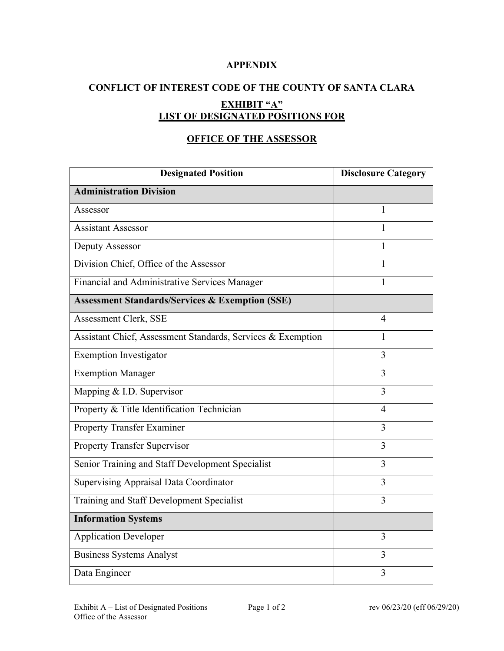### **APPENDIX**

# **CONFLICT OF INTEREST CODE OF THE COUNTY OF SANTA CLARA EXHIBIT "A" LIST OF DESIGNATED POSITIONS FOR**

## **OFFICE OF THE ASSESSOR**

| <b>Designated Position</b>                                  | <b>Disclosure Category</b> |
|-------------------------------------------------------------|----------------------------|
| <b>Administration Division</b>                              |                            |
| Assessor                                                    | 1                          |
| <b>Assistant Assessor</b>                                   | 1                          |
| Deputy Assessor                                             | 1                          |
| Division Chief, Office of the Assessor                      | 1                          |
| Financial and Administrative Services Manager               | $\mathbf{1}$               |
| <b>Assessment Standards/Services &amp; Exemption (SSE)</b>  |                            |
| Assessment Clerk, SSE                                       | 4                          |
| Assistant Chief, Assessment Standards, Services & Exemption | 1                          |
| <b>Exemption Investigator</b>                               | $\overline{3}$             |
| <b>Exemption Manager</b>                                    | $\overline{3}$             |
| Mapping & I.D. Supervisor                                   | $\overline{3}$             |
| Property & Title Identification Technician                  | $\overline{4}$             |
| <b>Property Transfer Examiner</b>                           | 3                          |
| <b>Property Transfer Supervisor</b>                         | $\overline{3}$             |
| Senior Training and Staff Development Specialist            | 3                          |
| <b>Supervising Appraisal Data Coordinator</b>               | 3                          |
| Training and Staff Development Specialist                   | 3                          |
| <b>Information Systems</b>                                  |                            |
| <b>Application Developer</b>                                | 3                          |
| <b>Business Systems Analyst</b>                             | 3                          |
| Data Engineer                                               | 3                          |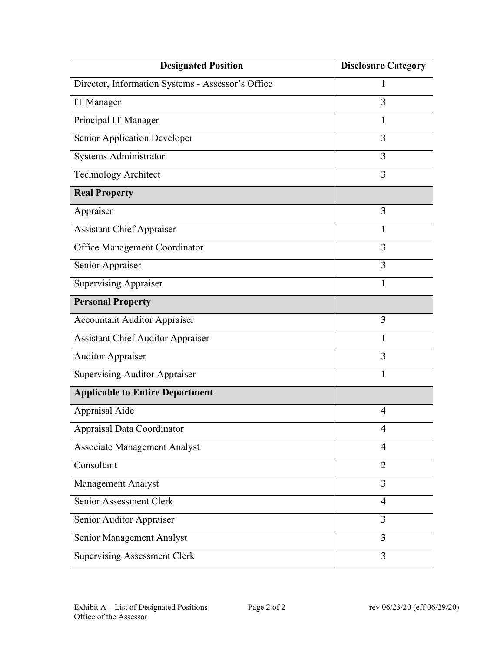| <b>Designated Position</b>                        | <b>Disclosure Category</b> |
|---------------------------------------------------|----------------------------|
| Director, Information Systems - Assessor's Office | 1                          |
| IT Manager                                        | 3                          |
| Principal IT Manager                              | $\mathbf{1}$               |
| Senior Application Developer                      | 3                          |
| Systems Administrator                             | 3                          |
| Technology Architect                              | 3                          |
| <b>Real Property</b>                              |                            |
| Appraiser                                         | 3                          |
| <b>Assistant Chief Appraiser</b>                  | $\mathbf{1}$               |
| Office Management Coordinator                     | 3                          |
| Senior Appraiser                                  | 3                          |
| <b>Supervising Appraiser</b>                      | 1                          |
| <b>Personal Property</b>                          |                            |
| <b>Accountant Auditor Appraiser</b>               | 3                          |
| <b>Assistant Chief Auditor Appraiser</b>          | $\mathbf{1}$               |
| <b>Auditor Appraiser</b>                          | 3                          |
| <b>Supervising Auditor Appraiser</b>              | 1                          |
| <b>Applicable to Entire Department</b>            |                            |
| Appraisal Aide                                    | 4                          |
| Appraisal Data Coordinator                        | $\overline{4}$             |
| <b>Associate Management Analyst</b>               | $\overline{4}$             |
| Consultant                                        | $\overline{2}$             |
| <b>Management Analyst</b>                         | 3                          |
| Senior Assessment Clerk                           | $\overline{4}$             |
| Senior Auditor Appraiser                          | 3                          |
| Senior Management Analyst                         | 3                          |
| <b>Supervising Assessment Clerk</b>               | 3                          |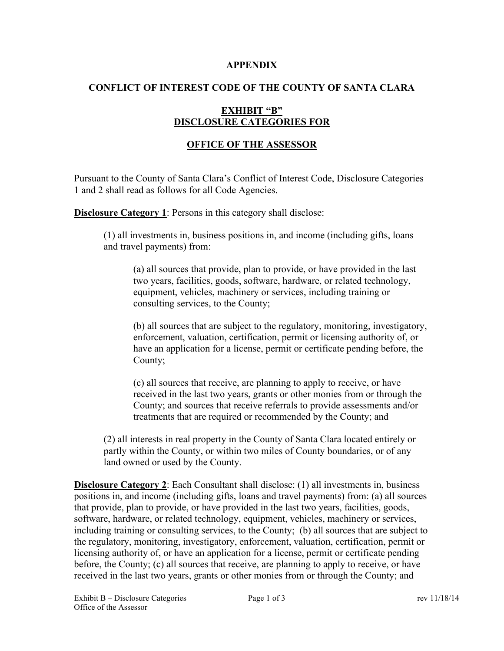#### **APPENDIX**

## **CONFLICT OF INTEREST CODE OF THE COUNTY OF SANTA CLARA**

## **EXHIBIT "B" DISCLOSURE CATEGORIES FOR**

## **OFFICE OF THE ASSESSOR**

Pursuant to the County of Santa Clara's Conflict of Interest Code, Disclosure Categories 1 and 2 shall read as follows for all Code Agencies.

**Disclosure Category 1:** Persons in this category shall disclose:

(1) all investments in, business positions in, and income (including gifts, loans and travel payments) from:

(a) all sources that provide, plan to provide, or have provided in the last two years, facilities, goods, software, hardware, or related technology, equipment, vehicles, machinery or services, including training or consulting services, to the County;

(b) all sources that are subject to the regulatory, monitoring, investigatory, enforcement, valuation, certification, permit or licensing authority of, or have an application for a license, permit or certificate pending before, the County;

(c) all sources that receive, are planning to apply to receive, or have received in the last two years, grants or other monies from or through the County; and sources that receive referrals to provide assessments and/or treatments that are required or recommended by the County; and

(2) all interests in real property in the County of Santa Clara located entirely or partly within the County, or within two miles of County boundaries, or of any land owned or used by the County.

**Disclosure Category 2**: Each Consultant shall disclose: (1) all investments in, business positions in, and income (including gifts, loans and travel payments) from: (a) all sources that provide, plan to provide, or have provided in the last two years, facilities, goods, software, hardware, or related technology, equipment, vehicles, machinery or services, including training or consulting services, to the County; (b) all sources that are subject to the regulatory, monitoring, investigatory, enforcement, valuation, certification, permit or licensing authority of, or have an application for a license, permit or certificate pending before, the County; (c) all sources that receive, are planning to apply to receive, or have received in the last two years, grants or other monies from or through the County; and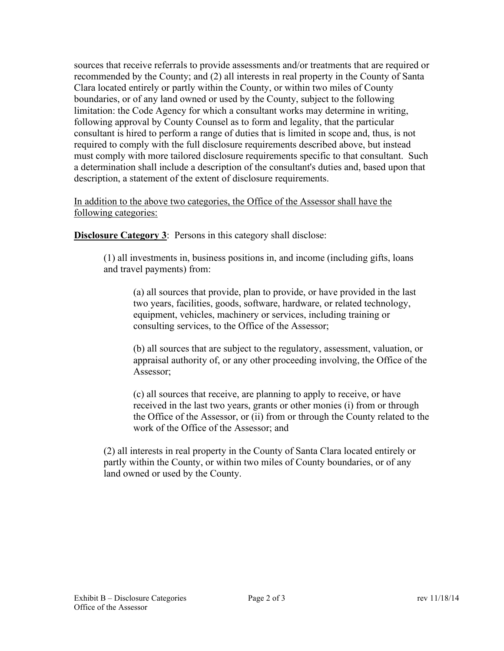sources that receive referrals to provide assessments and/or treatments that are required or recommended by the County; and (2) all interests in real property in the County of Santa Clara located entirely or partly within the County, or within two miles of County boundaries, or of any land owned or used by the County, subject to the following limitation: the Code Agency for which a consultant works may determine in writing, following approval by County Counsel as to form and legality, that the particular consultant is hired to perform a range of duties that is limited in scope and, thus, is not required to comply with the full disclosure requirements described above, but instead must comply with more tailored disclosure requirements specific to that consultant. Such a determination shall include a description of the consultant's duties and, based upon that description, a statement of the extent of disclosure requirements.

In addition to the above two categories, the Office of the Assessor shall have the following categories:

**Disclosure Category 3:** Persons in this category shall disclose:

(1) all investments in, business positions in, and income (including gifts, loans and travel payments) from:

(a) all sources that provide, plan to provide, or have provided in the last two years, facilities, goods, software, hardware, or related technology, equipment, vehicles, machinery or services, including training or consulting services, to the Office of the Assessor;

(b) all sources that are subject to the regulatory, assessment, valuation, or appraisal authority of, or any other proceeding involving, the Office of the Assessor;

(c) all sources that receive, are planning to apply to receive, or have received in the last two years, grants or other monies (i) from or through the Office of the Assessor, or (ii) from or through the County related to the work of the Office of the Assessor; and

(2) all interests in real property in the County of Santa Clara located entirely or partly within the County, or within two miles of County boundaries, or of any land owned or used by the County.